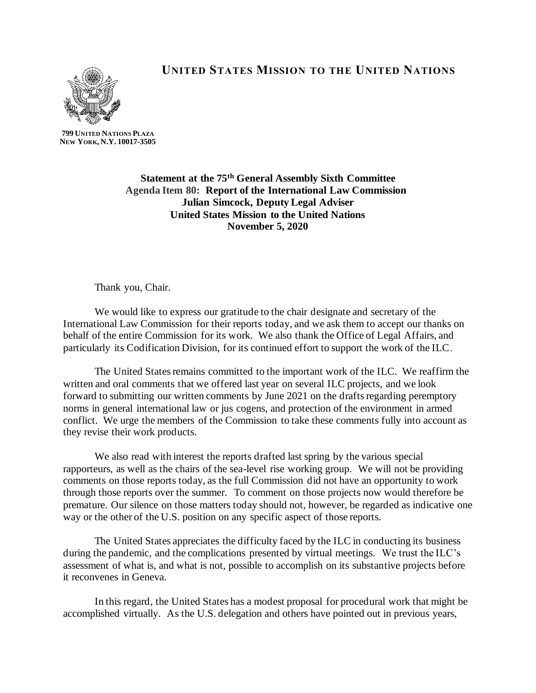## **UNITED STATES MISSION TO THE UNITED NATIONS**



**799 UNITED NATIONS PLAZA NEW YORK, N.Y. 10017-3505**

> **Statement at the 75th General Assembly Sixth Committee Agenda Item 80: Report of the International Law Commission Julian Simcock, Deputy Legal Adviser United States Mission to the United Nations November 5, 2020**

Thank you, Chair.

We would like to express our gratitude to the chair designate and secretary of the International Law Commission for their reports today, and we ask them to accept our thanks on behalf of the entire Commission for its work. We also thank the Office of Legal Affairs, and particularly its Codification Division, for its continued effort to support the work of the ILC.

The United States remains committed to the important work of the ILC. We reaffirm the written and oral comments that we offered last year on several ILC projects, and we look forward to submitting our written comments by June 2021 on the drafts regarding peremptory norms in general international law or jus cogens, and protection of the environment in armed conflict. We urge the members of the Commission to take these comments fully into account as they revise their work products.

We also read with interest the reports drafted last spring by the various special rapporteurs, as well as the chairs of the sea-level rise working group. We will not be providing comments on those reports today, as the full Commission did not have an opportunity to work through those reports over the summer. To comment on those projects now would therefore be premature. Our silence on those matters today should not, however, be regarded as indicative one way or the other of the U.S. position on any specific aspect of those reports.

The United States appreciates the difficulty faced by the ILC in conducting its business during the pandemic, and the complications presented by virtual meetings. We trust the ILC's assessment of what is, and what is not, possible to accomplish on its substantive projects before it reconvenes in Geneva.

In this regard, the United States has a modest proposal for procedural work that might be accomplished virtually. As the U.S. delegation and others have pointed out in previous years,